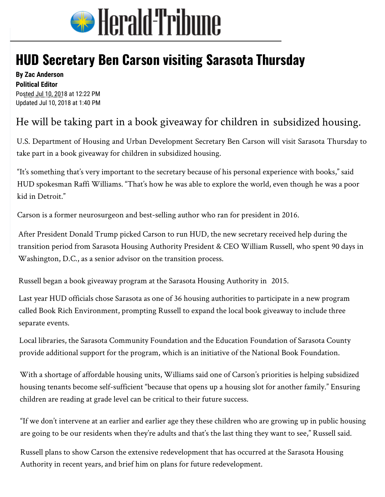

## **HUD Secretary Be[n Carson visiting Sarasota](http://www.heraldtribune.com/) Thursday**

**By Zac Anderson Political Editor**  Posted Jul 10, 2018 at 12:22 PM Updated Jul 10, 2018 at 1:40 PM

## He will be t[aking par](mailto:zac.anderson@heraldtribune.com)t in a book giveaway for children in subsidized housing.

U.S. Department of Housing and Urban Development Secretary Ben Carson will visit Sarasota Thursday to take part in a book giveaway for children in subsidized housing.

"It's something that's very important to the secretary because of his personal experience with books," said HUD spokesman Raffi Williams. "That's how he was able to explore the world, even though he was a poor kid in Detroit."

Carson is a former neurosurgeon and best-selling author who ran for president in 2016.

After President Donald Trump picked Carson to run HUD, the new secretary received help during the transition period from Sarasota Housing Authority President & CEO William Russell, who spent 90 days in Washington, D.C., as a senior advisor on the transition process.

Russell began a book giveaway program at the Sarasota Housing Authority in 2015.

Last year HUD officials chose Sarasota as one of 36 housing authorities to participate in a new program called Book Rich Environment, prompting Russell to expand the local book giveaway to include three separate events.

Local libraries, the Sarasota Community Foundation and the Education Foundation of Sarasota County provide additional support for the program, which is an initiative of the National Book Foundation.

With a shortage of affordable housing units, Williams said one of Carson's priorities is helping subsidized housing tenants become self-sufficient "because that opens up a housing slot for another family." Ensuring children are reading at grade level can be critical to their future success.

"If we don't intervene at an earlier and earlier age they these children who are growing up in public housing are going to be our residents when they're adults and that's the last thing they want to see," Russell said.

Russell plans to show Carson the extensive redevelopment that has occurred at the Sarasota Housing Authority in recent years, and brief him on plans for future redevelopment.